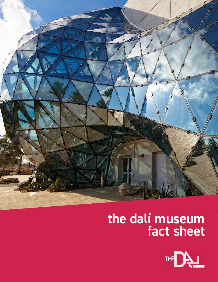

# **the dalí museum**  fact sheet

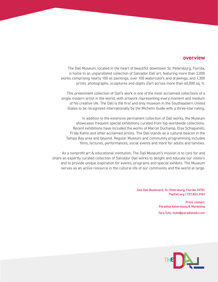## **overview**

The Dalí Museum, located in the heart of beautiful downtown St. Petersburg, Florida, is home to an unparalleled collection of Salvador Dalí art, featuring more than 2,000 works comprising nearly 100 oil paintings; over 100 watercolors and drawings; and 1,300 prints, photographs, sculptures and objets d'art across more than 60,000 sq. ft.

This preeminent collection of Dalí's work is one of the most acclaimed collections of a single modern artist in the world, with artwork representing every moment and medium of his creative life. The Dalí is the first and only museum in the Southeastern United States to be recognized internationally by the Michelin Guide with a three-star rating.

In addition to the extensive permanent collection of Dalí works, the Museum showcases frequent special exhibitions curated from top worldwide collections. Recent exhibitions have included the works of Marcel Duchamp, Elsa Schiaparelli, Frida Kahlo and other acclaimed artists. The Dalí stands as a cultural beacon in the Tampa Bay area and beyond. Regular Museum and community programming includes films, lectures, performances, social events and more for adults and families.

As a nonprofit art & educational institution, The Dalí Museum's mission is to care for and share an expertly curated collection of Salvador Dalí works to delight and educate our visitors and to provide unique inspiration for events, programs and special exhibits. The Museum serves as an active resource in the cultural life of our community and the world at large.

> One Dalí Boulevard, St. Petersburg, Florida 33701 TheDali.org | 727.823.3767

> > Press contact: Paradise Advertising & Marketing

Tara Tufo, ttufo@paradiseadv.com

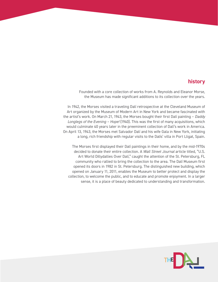## **history**

Founded with a core collection of works from A. Reynolds and Eleanor Morse, the Museum has made significant additions to its collection over the years.

In 1942, the Morses visited a traveling Dalí retrospective at the Cleveland Museum of Art organized by the Museum of Modern Art in New York and became fascinated with the artist's work. On March 21, 1943, the Morses bought their first Dalí painting – *Daddy Longlegs of the Evening – Hope!* (1940). This was the first of many acquisitions, which would culminate 40 years later in the preeminent collection of Dalí's work in America. On April 13, 1943, the Morses met Salvador Dalí and his wife Gala in New York, initiating a long, rich friendship with regular visits to the Dalís' villa in Port Lligat, Spain.

The Morses first displayed their Dalí paintings in their home, and by the mid-1970s decided to donate their entire collection. A *Wall Street Journal* article titled, "U.S. Art World Dillydallies Over Dalí," caught the attention of the St. Petersburg, FL community who rallied to bring the collection to the area. The Dalí Museum first opened its doors in 1982 in St. Petersburg. The distinguished new building, which opened on January 11, 2011, enables the Museum to better protect and display the collection, to welcome the public, and to educate and promote enjoyment. In a larger sense, it is a place of beauty dedicated to understanding and transformation.

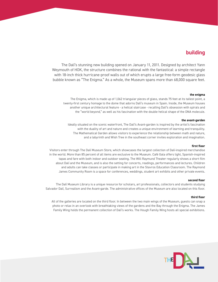# **building**

The Dalí's stunning new building opened on January 11, 2011. Designed by architect Yann Weymouth of HOK, the structure combines the rational with the fantastical: a simple rectangle with 18-inch thick hurricane-proof walls out of which erupts a large free-form geodesic glass bubble known as "The Enigma." As a whole, the Museum spans more than 68,000 square feet.

#### **the enigma**

The Enigma, which is made up of 1,062 triangular pieces of glass, stands 75 feet at its tallest point, a twenty-first century homage to the dome that adorns Dalí's museum in Spain. Inside, the Museum houses another unique architectural feature - a helical staircase - recalling Dalí's obsession with spirals and the "world beyond," as well as his fascination with the double helical shape of the DNA molecule.

#### **the avant-garden**

Ideally situated on the scenic waterfront, The Dalí's Avant-garden is inspired by the artist's fascination with the duality of art and nature and creates a unique environment of learning and tranquility. The Mathematical Garden allows visitors to experience the relationship between math and nature, and a labyrinth and Wish Tree in the southeast corner invites exploration and imagination.

#### **first floor**

Visitors enter through The Dalí Museum Store, which showcases the largest collection of Dalí-inspired merchandise in the world. More than 85 percent of all items are exclusive to the Museum. Café Gala offers light, Spanish-inspired tapas and fare with both indoor and outdoor seating. The Will Raymund Theater regularly shows a short film about Dalí and the Museum, and is also the setting for concerts, readings, performances and lectures. Children and adults can take classes or participate in making art in the Stavros Education Classroom. The Raymond James Community Room is a space for conferences, weddings, student art exhibits and other private events.

#### **second floor**

The Dalí Museum Library is a unique resource for scholars, art professionals, collectors and students studying Salvador Dalí, Surrealism and the Avant-garde. The administrative offices of the Museum are also located on this floor.

#### **third floor**

All of the galleries are located on the third floor. In between the two main wings of the Museum, guests can snap a photo or relax in an overlook with breathtaking views of the gardens and the Bay through the Enigma. The James Family Wing holds the permanent collection of Dalí's works. The Hough Family Wing hosts all special exhibitions.

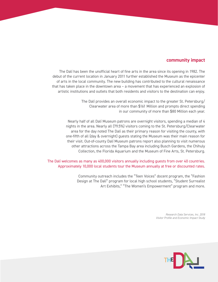## **community impact**

The Dalí has been the unofficial heart of fine arts in the area since its opening in 1982. The debut of the current location in January 2011 further established the Museum as the epicenter of arts in the local community. The new building has contributed to the cultural renaissance that has taken place in the downtown area – a movement that has experienced an explosion of artistic institutions and outlets that both residents and visitors to the destination can enjoy.

> The Dalí provides an overall economic impact to the greater St. Petersburg/ Clearwater area of more than \$161 Million and prompts direct spending in our community of more than \$80 Million each year.

Nearly half of all Dalí Museum patrons are overnight visitors, spending a median of 4 nights in the area. Nearly all (79.5%) visitors coming to the St. Petersburg/Clearwater area for the day noted The Dalí as their primary reason for visiting the county, with one-fifth of all (day & overnight) guests stating the Museum was their main reason for their visit. Out-of-county Dalí Museum patrons report also planning to visit numerous other attractions across the Tampa Bay area including Busch Gardens, the Chihuly Collection, the Florida Aquarium and the Museum of Fine Arts, St. Petersburg.

### The Dalí welcomes as many as 400,000 visitors annually including guests from over 40 countries. Approximately 10,000 local students tour the Museum annually at free or discounted rates.

Community outreach includes the "Teen Voices" docent program, the "Fashion Design at The Dalí" program for local high school students, "Student Surrealist Art Exhibits," "The Women's Empowerment" program and more.

> *Research Data Services, Inc. 2018 Visitor Profile and Economic Impact Study*

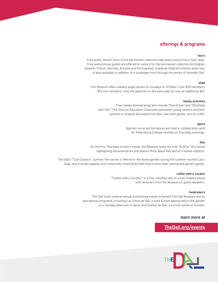## **offerings & programs**

#### **tours**

Free public docent tours of the permanent collection take place nearly every hour, daily. Free audio/visual guides are offered to visitors for the permanent collection (in English, Spanish, French, German, Russian and Portuguese). A special children's/family audio tour is also available in addition to a scavenger hunt through the works of Salvador Dalí.

#### **yoga**

The Museum offers weekly yoga classes on Sundays at 10:30am. Cost: \$10 members, \$15 non-members. Visit the galleries on the same day for only an additional \$10.

#### **family activities**

Free, family-themed programs include "StoryTime" and "DillyDally with Dalí." The Stavros Education Classroom welcomes young visitors and their parents to imagine and explore on their own with games, arts & crafts.

#### **opera**

Operatic vocal performances are held in collaboration with St. Petersburg College monthly on Thursday evenings.

#### **film**

On the first Thursday of every month, the Museum hosts the free "ArtFlix" film series highlighting documentaries and feature films about Dalí and art-related subjects.

The Dalí's "Cult Classics" summer film series is offered in the Avant-garden during the summer months (Jun-Aug), and includes popular and community -voted flicks with food trucks, beer tasting and garden games.

#### **coffee with a curator**

"Coffee with a Curator" is a free, monthly talk on a Dalí-related theme with lecturers from the Museum or guest-speakers.

#### **fundraisers**

The Dalí hosts several annual fundraising events to benefit The Dalí Museum and its educational programs, including Los Vinos de Dalí, a wine & food tasting held in the garden on a Sunday afternoon in April, and Sueños de Dalí, a surreal soirée in October.

#### **learn more at**

**[TheDali.org/events](https://thedali.org/events/)**

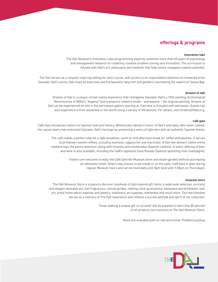## **offerings & programs**

#### **innovation labs**

The Dalí Museum's Innovation Labs programming expertly combines more than 60 years of psychology and management research on creativity, creative problem solving and innovation. The curriculum is infused with Dalí's art, philosophy and methods that help unlock untapped creative potential.

The Dalí serves as a uniquely inspiring setting for each course, with access to an unparalleled collection of renowned artist Salvador Dalí's works, Dalí-inspired exercises and the beautiful labyrinth and gardens overlooking the waters of Tampa Bay.

#### **dreams of dalí**

Dreams of Dalí is a unique virtual reality experience that reimagines Salvador Dalí's c.1934 painting *Archeological Reminiscence of Millet's "Angelus"* and transports viewers inside – and beyond – the original painting. Dreams of Dalí can be experienced on-site in the permanent gallery starting at 11am and is included with admission. Guests can also experience it from anywhere in the world using a variety of VR devices. For details, visit DreamsOfDali.org.

#### **café gala**

Café Gala introduces visitors to Spanish food and history. Whimsically named in honor of Dalí's wife Gala, who never cooked, the casual eatery has embraced Salvador Dalí's heritage by presenting a menu of light fare with an authentic Spanish theme.

The café makes a perfect stop for a light breakfast, lunch or mid-afternoon break for coffee and pastries. It serves local Kahwa roasted coffees, including espresso, cappuccino and macchiato. A flan-like dessert called crema catalana tops the pastry selection, along with tiramisu and mantecados (Spanish cookies). A select offering of beer and wine is also available, including the Café's signature Cava Rosado (Spanish sparkling rosé champagne).

> Visitors are welcome to enjoy the Café (and the Museum store and Avant-garden) without purchasing an admission ticket. Diners may choose to eat inside or on the patio. Café Gala is open during regular Museum hours and serves food daily until 5pm (and until 7:30pm on Thursdays).

#### **museum store**

The Dalí Museum Store is a place to discover hundreds of Dalí-inspired gift items, a wide book selection, on-trend and elegant wearable art, Dalí fragrances, canvas giclées, melting clock accessories, tableware and drinkware, wall art, artful home décor, watches and jewelry, stationery, art supplies, mementos and much more. The merchandise serves as a memory of The Dalí experience and reflects a surreal attitude and spirit of our collection.

> Those seeking a unique gift or souvenir will be pleased to learn that 85 percent of all products are exclusive to The Dalí Museum Store.

> > Items are available both on-site and online: TheDali.org/shop

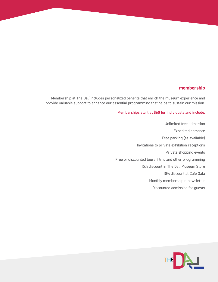## **membership**

Membership at The Dalí includes personalized benefits that enrich the museum experience and provide valuable support to enhance our essential programming that helps to sustain our mission.

## Memberships start at \$60 for individuals and include:

Unlimited free admission Expedited entrance Free parking (as available) Invitations to private exhibition receptions Private shopping events Free or discounted tours, films and other programming 15% discount in The Dalí Museum Store 10% discount at Café Gala Monthly membership e-newsletter Discounted admission for guests